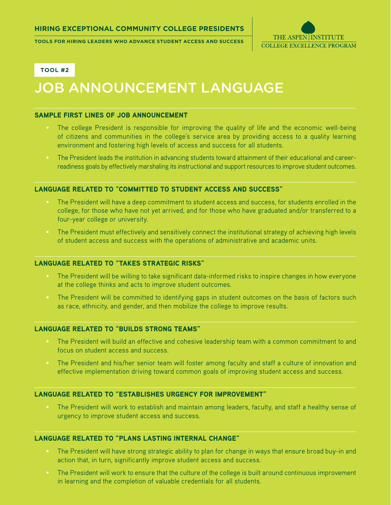**Tools for Hiring Leaders who advance Student Access and Success**



**Tool #2**

# JOB ANNOUNCEMENT LANGUAGE

## Sample First Lines of Job Announcement

- The college President is responsible for improving the quality of life and the economic well-being of citizens and communities in the college's service area by providing access to a quality learning environment and fostering high levels of access and success for all students.
- The President leads the institution in advancing students toward attainment of their educational and careerreadiness goals by effectively marshaling its instructional and support resources to improve student outcomes.

# language related to "Committed to Student Access and Success"

- The President will have a deep commitment to student access and success, for students enrolled in the college, for those who have not yet arrived, and for those who have graduated and/or transferred to a four-year college or university.
- The President must effectively and sensitively connect the institutional strategy of achieving high levels of student access and success with the operations of administrative and academic units.

# language related to "Takes Strategic Risks"

- The President will be willing to take significant data-informed risks to inspire changes in how everyone at the college thinks and acts to improve student outcomes.
- The President will be committed to identifying gaps in student outcomes on the basis of factors such as race, ethnicity, and gender, and then mobilize the college to improve results.

### language related to "Builds Strong Teams"

- The President will build an effective and cohesive leadership team with a common commitment to and focus on student access and success.
- The President and his/her senior team will foster among faculty and staff a culture of innovation and effective implementation driving toward common goals of improving student access and success.

## language related to "Establishes Urgency for Improvement"

• The President will work to establish and maintain among leaders, faculty, and staff a healthy sense of urgency to improve student access and success.

# language related to "Plans Lasting Internal Change"

- The President will have strong strategic ability to plan for change in ways that ensure broad buy-in and action that, in turn, significantly improve student access and success.
- The President will work to ensure that the culture of the college is built around continuous improvement in learning and the completion of valuable credentials for all students.